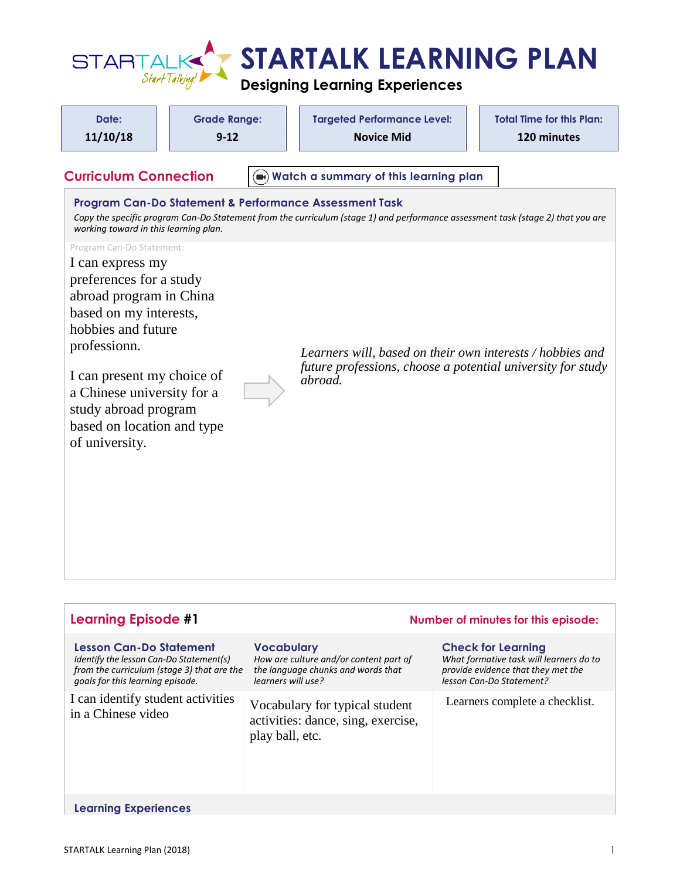

| Date:<br>11/10/18<br><b>Curriculum Connection</b>                                                                                                                                                                                                                                                       | <b>Grade Range:</b><br>$9 - 12$ | <b>Targeted Performance Level:</b><br><b>Novice Mid</b>                                                                                                                                   | <b>Total Time for this Plan:</b><br>120 minutes |
|---------------------------------------------------------------------------------------------------------------------------------------------------------------------------------------------------------------------------------------------------------------------------------------------------------|---------------------------------|-------------------------------------------------------------------------------------------------------------------------------------------------------------------------------------------|-------------------------------------------------|
| working toward in this learning plan.                                                                                                                                                                                                                                                                   |                                 | Program Can-Do Statement & Performance Assessment Task<br>Copy the specific program Can-Do Statement from the curriculum (stage 1) and performance assessment task (stage 2) that you are |                                                 |
| Program Can-Do Statement:<br>I can express my<br>preferences for a study<br>abroad program in China<br>based on my interests,<br>hobbies and future<br>professionn.<br>I can present my choice of<br>a Chinese university for a<br>study abroad program<br>based on location and type<br>of university. |                                 | Learners will, based on their own interests / hobbies and<br>future professions, choose a potential university for study<br>abroad.                                                       |                                                 |

| <b>Learning Episode #1</b>                                                                                                                                  |                                                                                                                         | Number of minutes for this episode:                                                                                                    |  |
|-------------------------------------------------------------------------------------------------------------------------------------------------------------|-------------------------------------------------------------------------------------------------------------------------|----------------------------------------------------------------------------------------------------------------------------------------|--|
| <b>Lesson Can-Do Statement</b><br>Identify the lesson Can-Do Statement(s)<br>from the curriculum (stage 3) that are the<br>goals for this learning episode. | <b>Vocabulary</b><br>How are culture and/or content part of<br>the language chunks and words that<br>learners will use? | <b>Check for Learning</b><br>What formative task will learners do to<br>provide evidence that they met the<br>lesson Can-Do Statement? |  |
| I can identify student activities<br>in a Chinese video                                                                                                     | Vocabulary for typical student<br>activities: dance, sing, exercise,<br>play ball, etc.                                 | Learners complete a checklist.                                                                                                         |  |
| <b>Learning Experiences</b>                                                                                                                                 |                                                                                                                         |                                                                                                                                        |  |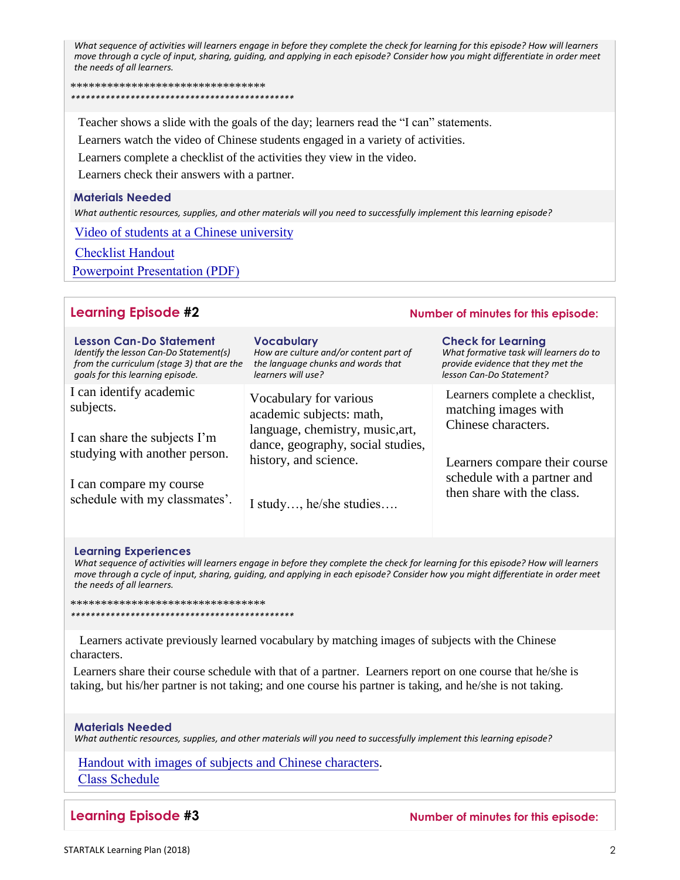*What sequence of activities will learners engage in before they complete the check for learning for this episode? How will learners move through a cycle of input, sharing, guiding, and applying in each episode? Consider how you might differentiate in order meet the needs of all learners.*

\*\*\*\*\*\*\*\*\*\*\*\*\*\*\*\*\*\*\*\*\*\*\*\*\*\*\*\*\*\*\*\* *\*\*\*\*\*\*\*\*\*\*\*\*\*\*\*\*\*\*\*\*\*\*\*\*\*\*\*\*\*\*\*\*\*\*\*\*\*\*\*\*\*\*\*\*\**

Teacher shows a slide with the goals of the day; learners read the "I can" statements.

Learners watch the video of Chinese students engaged in a variety of activities.

Learners complete a checklist of the activities they view in the video.

Learners check their answers with a partner.

## **Materials Needed**

*What authentic resources, supplies, and other materials will you need to successfully implement this learning episode?*

[Video of students at a Chinese university](https://www.youtube.com/watch?v=PH0QkPHRd2g)

[Checklist Handout](https://startalk.umd.edu/public/system/files/resources/kent_chinese2_handout1.pdf)

[Powerpoint Presentation \(PDF\)](https://startalk.umd.edu/public/system/files/resources/kent_chinese2_university.pdf)

# **Learning Episode #2 Number of minutes for this episode:**

| <b>Lesson Can-Do Statement</b>             | <b>Vocabulary</b>                      | <b>Check for Learning</b>               |
|--------------------------------------------|----------------------------------------|-----------------------------------------|
| Identify the lesson Can-Do Statement(s)    | How are culture and/or content part of | What formative task will learners do to |
| from the curriculum (stage 3) that are the | the language chunks and words that     | provide evidence that they met the      |
| goals for this learning episode.           | learners will use?                     | lesson Can-Do Statement?                |
| I can identify academic                    | Vocabulary for various                 | Learners complete a checklist,          |
| subjects.                                  | academic subjects: math,               | matching images with                    |
| I can share the subjects I'm               | language, chemistry, music, art,       | Chinese characters.                     |
| studying with another person.              | dance, geography, social studies,      | Learners compare their course           |
| I can compare my course                    | history, and science.                  | schedule with a partner and             |
| schedule with my classmates'.              | I study, he/she studies                | then share with the class.              |

### **Learning Experiences**

*What sequence of activities will learners engage in before they complete the check for learning for this episode? How will learners move through a cycle of input, sharing, guiding, and applying in each episode? Consider how you might differentiate in order meet the needs of all learners.*

\*\*\*\*\*\*\*\*\*\*\*\*\*\*\*\*\*\*\*\*\*\*\*\*\*\*\*\*\*\*\*\* *\*\*\*\*\*\*\*\*\*\*\*\*\*\*\*\*\*\*\*\*\*\*\*\*\*\*\*\*\*\*\*\*\*\*\*\*\*\*\*\*\*\*\*\*\**

 Learners activate previously learned vocabulary by matching images of subjects with the Chinese characters.

Learners share their course schedule with that of a partner. Learners report on one course that he/she is taking, but his/her partner is not taking; and one course his partner is taking, and he/she is not taking.

## **Materials Needed**

*What authentic resources, supplies, and other materials will you need to successfully implement this learning episode?*

[Handout with images of subjects and Chinese characters.](https://startalk.umd.edu/public/system/files/resources/kent_chinese2_handout2.pdf) [Class Schedule](https://startalk.umd.edu/public/system/files/resources/kent_chinese2_handout3.pdf)

**Learning Episode #3 Number of minutes for this episode:**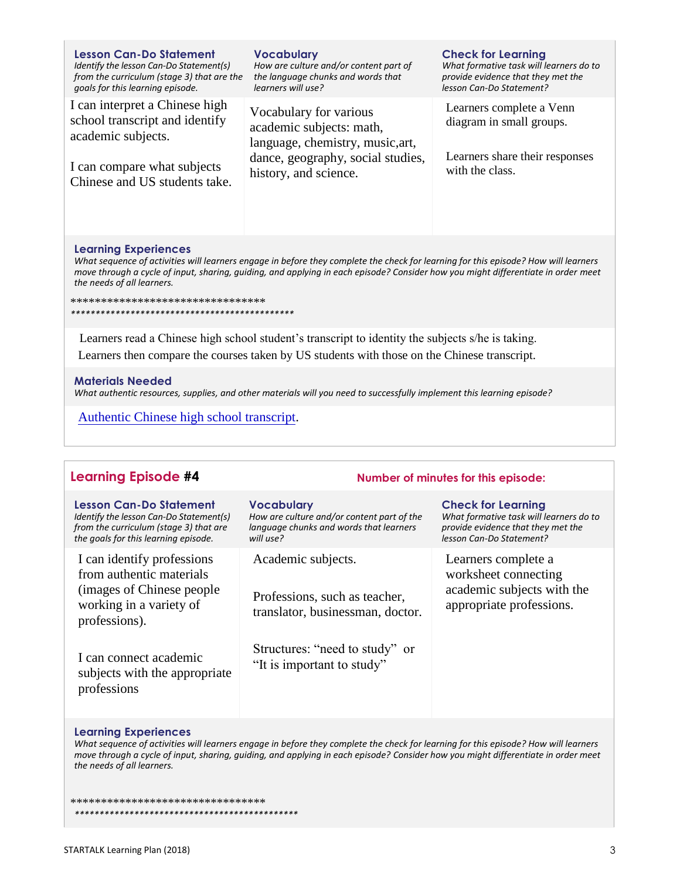| <b>Lesson Can-Do Statement</b><br>Identify the lesson Can-Do Statement(s)<br>from the curriculum (stage 3) that are the<br>goals for this learning episode. | <b>Vocabulary</b><br>How are culture and/or content part of<br>the language chunks and words that<br>learners will use?                              | <b>Check for Learning</b><br>What formative task will learners do to<br>provide evidence that they met the<br>lesson Can-Do Statement? |
|-------------------------------------------------------------------------------------------------------------------------------------------------------------|------------------------------------------------------------------------------------------------------------------------------------------------------|----------------------------------------------------------------------------------------------------------------------------------------|
| I can interpret a Chinese high<br>school transcript and identify<br>academic subjects.                                                                      | Vocabulary for various<br>academic subjects: math,<br>language, chemistry, music, art,<br>dance, geography, social studies,<br>history, and science. | Learners complete a Venn<br>diagram in small groups.                                                                                   |
| I can compare what subjects<br>Chinese and US students take.                                                                                                |                                                                                                                                                      | Learners share their responses<br>with the class.                                                                                      |

## **Learning Experiences**

*What sequence of activities will learners engage in before they complete the check for learning for this episode? How will learners move through a cycle of input, sharing, guiding, and applying in each episode? Consider how you might differentiate in order meet the needs of all learners.*

\*\*\*\*\*\*\*\*\*\*\*\*\*\*\*\*\*\*\*\*\*\*\*\*\*\*\*\*\*\*\*\*

*\*\*\*\*\*\*\*\*\*\*\*\*\*\*\*\*\*\*\*\*\*\*\*\*\*\*\*\*\*\*\*\*\*\*\*\*\*\*\*\*\*\*\*\*\**

 Learners read a Chinese high school student's transcript to identity the subjects s/he is taking. Learners then compare the courses taken by US students with those on the Chinese transcript.

### **Materials Needed**

*What authentic resources, supplies, and other materials will you need to successfully implement this learning episode?*

[Authentic Chinese high school transcript.](https://startalk.umd.edu/public/system/files/resources/kent_chinese2_handout4.pdf) 

# **Learning Episode #4 Number of minutes for this episode:**

| <b>Lesson Can-Do Statement</b><br>Identify the lesson Can-Do Statement(s)<br>from the curriculum (stage 3) that are<br>the goals for this learning episode. | <b>Vocabulary</b><br>How are culture and/or content part of the<br>language chunks and words that learners<br>will use? | <b>Check for Learning</b><br>What formative task will learners do to<br>provide evidence that they met the<br>lesson Can-Do Statement? |
|-------------------------------------------------------------------------------------------------------------------------------------------------------------|-------------------------------------------------------------------------------------------------------------------------|----------------------------------------------------------------------------------------------------------------------------------------|
| I can identify professions<br>from authentic materials<br>(images of Chinese people)<br>working in a variety of<br>professions).                            | Academic subjects.<br>Professions, such as teacher,<br>translator, businessman, doctor.                                 | Learners complete a<br>worksheet connecting<br>academic subjects with the<br>appropriate professions.                                  |
| I can connect academic<br>subjects with the appropriate<br>professions                                                                                      | Structures: "need to study" or<br>"It is important to study"                                                            |                                                                                                                                        |
| <b>Learning Experiences</b>                                                                                                                                 |                                                                                                                         |                                                                                                                                        |

#### **Learning Experiences**

*What sequence of activities will learners engage in before they complete the check for learning for this episode? How will learners move through a cycle of input, sharing, guiding, and applying in each episode? Consider how you might differentiate in order meet the needs of all learners.*

\*\*\*\*\*\*\*\*\*\*\*\*\*\*\*\*\*\*\*\*\*\*\*\*\*\*\*\*\*\*\*\* *\*\*\*\*\*\*\*\*\*\*\*\*\*\*\*\*\*\*\*\*\*\*\*\*\*\*\*\*\*\*\*\*\*\*\*\*\*\*\*\*\*\*\*\*\**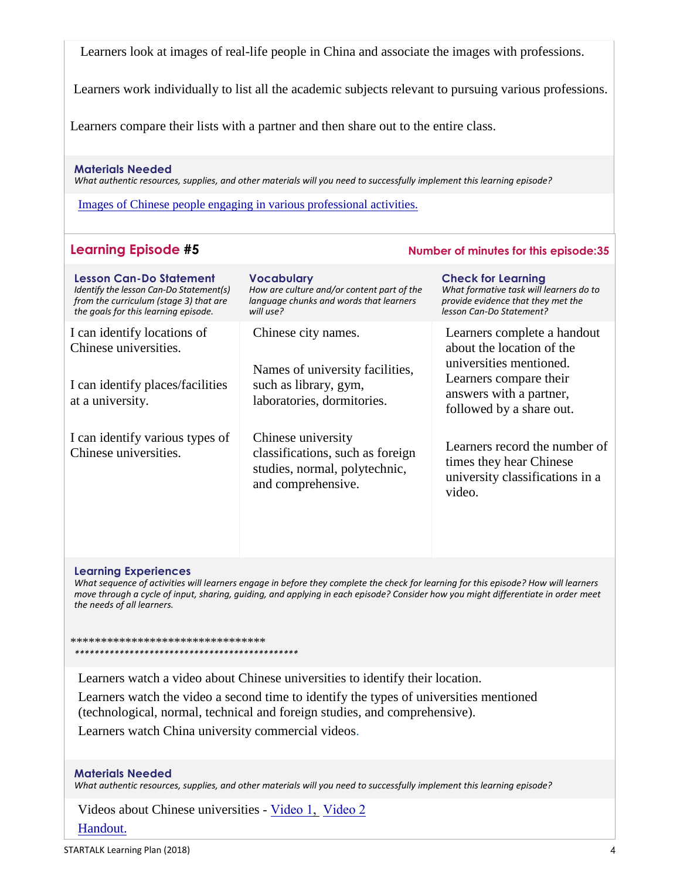Learners look at images of real-life people in China and associate the images with professions.

Learners work individually to list all the academic subjects relevant to pursuing various professions.

Learners compare their lists with a partner and then share out to the entire class.

# **Materials Needed**

*What authentic resources, supplies, and other materials will you need to successfully implement this learning episode?*

[Images of Chinese people engaging in various professional activities.](https://startalk.umd.edu/public/system/files/resources/kent_chinese2_handout5.pdf) 

# **Learning Episode #5 Number of minutes for this episode:35**

| <b>Lesson Can-Do Statement</b><br>Identify the lesson Can-Do Statement(s)<br>from the curriculum (stage 3) that are<br>the goals for this learning episode. | <b>Vocabulary</b><br>How are culture and/or content part of the<br>language chunks and words that learners<br>will use? | <b>Check for Learning</b><br>What formative task will learners do to<br>provide evidence that they met the<br>lesson Can-Do Statement?                               |
|-------------------------------------------------------------------------------------------------------------------------------------------------------------|-------------------------------------------------------------------------------------------------------------------------|----------------------------------------------------------------------------------------------------------------------------------------------------------------------|
| I can identify locations of<br>Chinese universities.<br>I can identify places/facilities<br>at a university.                                                | Chinese city names.<br>Names of university facilities,<br>such as library, gym,<br>laboratories, dormitories.           | Learners complete a handout<br>about the location of the<br>universities mentioned.<br>Learners compare their<br>answers with a partner,<br>followed by a share out. |
| I can identify various types of<br>Chinese universities.                                                                                                    | Chinese university<br>classifications, such as foreign<br>studies, normal, polytechnic,<br>and comprehensive.           | Learners record the number of<br>times they hear Chinese<br>university classifications in a<br>video.                                                                |

# **Learning Experiences**

*What sequence of activities will learners engage in before they complete the check for learning for this episode? How will learners move through a cycle of input, sharing, guiding, and applying in each episode? Consider how you might differentiate in order meet the needs of all learners.*

\*\*\*\*\*\*\*\*\*\*\*\*\*\*\*\*\*\*\*\*\*\*\*\*\*\*\*\*\*\*\*\* *\*\*\*\*\*\*\*\*\*\*\*\*\*\*\*\*\*\*\*\*\*\*\*\*\*\*\*\*\*\*\*\*\*\*\*\*\*\*\*\*\*\*\*\*\**

Learners watch a video about Chinese universities to identify their location.

Learners watch the video a second time to identify the types of universities mentioned (technological, normal, technical and foreign studies, and comprehensive).

Learners watch China university commercial videos.

# **Materials Needed**

*What authentic resources, supplies, and other materials will you need to successfully implement this learning episode?*

Videos about Chinese universities - [Video 1,](https://www.youtube.com/watch?v=dxlIi4fjNKg) [Video 2](https://www.youtube.com/watch?v=dxlIi4fjNKg) [Handout.](https://startalk.umd.edu/public/system/files/resources/kent_chinese2_handout6.pdf)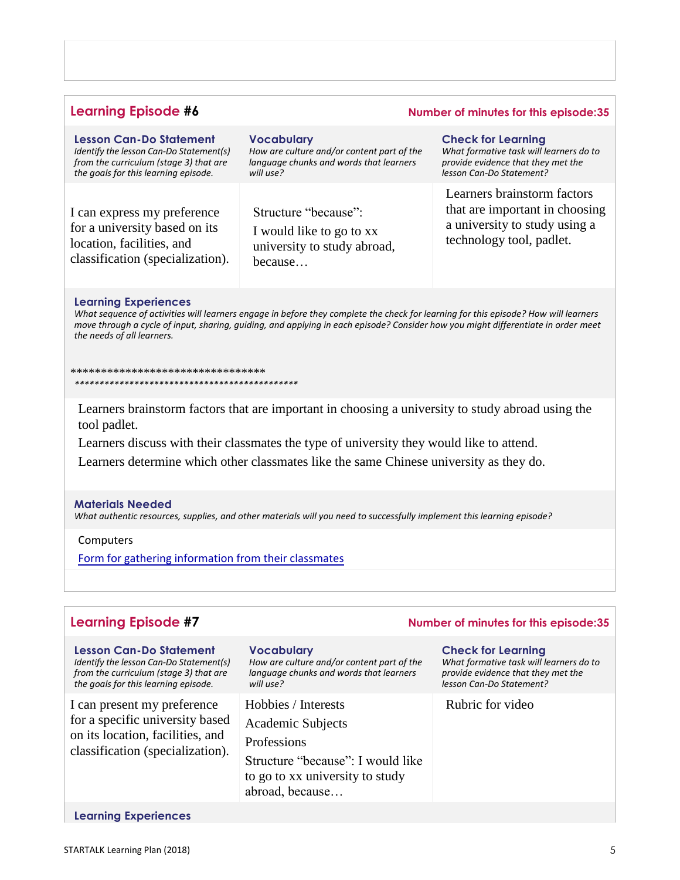# **Learning Episode #6 Number of minutes for this episode:35**

| <b>Lesson Can-Do Statement</b>          | <b>Vocabulary</b>                          | <b>Check for Learning</b>               |
|-----------------------------------------|--------------------------------------------|-----------------------------------------|
| Identify the lesson Can-Do Statement(s) | How are culture and/or content part of the | What formative task will learners do to |
| from the curriculum (stage 3) that are  | language chunks and words that learners    | provide evidence that they met the      |
| the goals for this learning episode.    | will use?                                  | lesson Can-Do Statement?                |
| I can express my preference             | Structure "because":                       | Learners brainstorm factors             |
| for a university based on its           | I would like to go to xx                   | that are important in choosing          |
| location, facilities, and               | university to study abroad,                | a university to study using a           |
| classification (specialization).        | because                                    | technology tool, padlet.                |

#### **Learning Experiences**

*What sequence of activities will learners engage in before they complete the check for learning for this episode? How will learners move through a cycle of input, sharing, guiding, and applying in each episode? Consider how you might differentiate in order meet the needs of all learners.*

\*\*\*\*\*\*\*\*\*\*\*\*\*\*\*\*\*\*\*\*\*\*\*\*\*\*\*\*\*\*\*\* *\*\*\*\*\*\*\*\*\*\*\*\*\*\*\*\*\*\*\*\*\*\*\*\*\*\*\*\*\*\*\*\*\*\*\*\*\*\*\*\*\*\*\*\*\**

Learners brainstorm factors that are important in choosing a university to study abroad using the tool padlet.

Learners discuss with their classmates the type of university they would like to attend. Learners determine which other classmates like the same Chinese university as they do.

### **Materials Needed**

*What authentic resources, supplies, and other materials will you need to successfully implement this learning episode?*

# Computers

[Form for gathering information from their classmates](https://startalk.umd.edu/public/system/files/resources/kent_chinese2_handout7.pdf)

| <b>Learning Episode #7</b>                                                                                                                                  |                                                                                                                                                    | Number of minutes for this episode:35                                                                                                  |
|-------------------------------------------------------------------------------------------------------------------------------------------------------------|----------------------------------------------------------------------------------------------------------------------------------------------------|----------------------------------------------------------------------------------------------------------------------------------------|
| <b>Lesson Can-Do Statement</b><br>Identify the lesson Can-Do Statement(s)<br>from the curriculum (stage 3) that are<br>the goals for this learning episode. | <b>Vocabulary</b><br>How are culture and/or content part of the<br>language chunks and words that learners<br>will use?                            | <b>Check for Learning</b><br>What formative task will learners do to<br>provide evidence that they met the<br>lesson Can-Do Statement? |
| I can present my preference<br>for a specific university based<br>on its location, facilities, and<br>classification (specialization).                      | Hobbies / Interests<br>Academic Subjects<br>Professions<br>Structure "because": I would like<br>to go to xx university to study<br>abroad, because | Rubric for video                                                                                                                       |
| <b>Learning Experiences</b>                                                                                                                                 |                                                                                                                                                    |                                                                                                                                        |